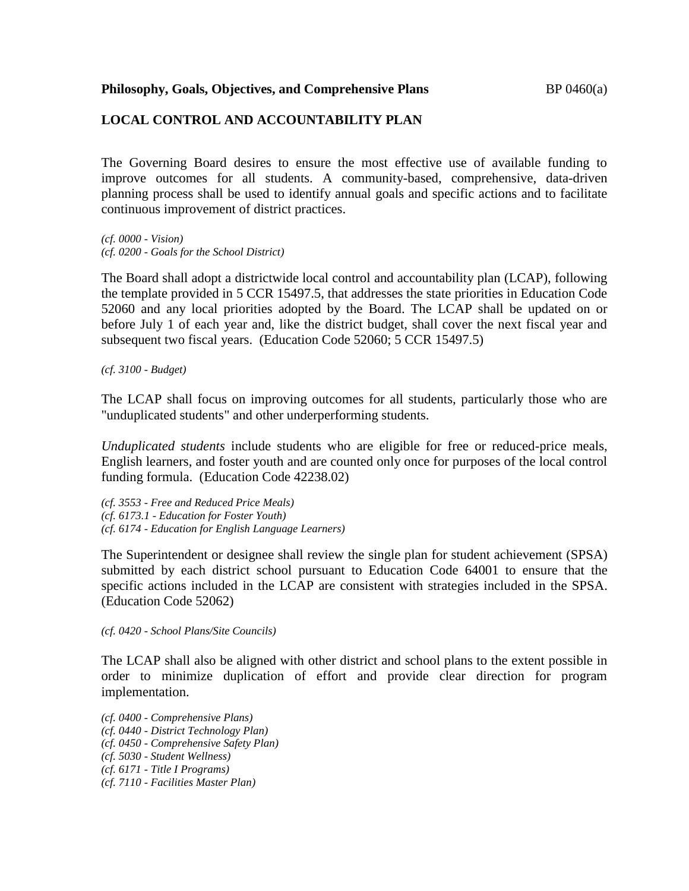## **LOCAL CONTROL AND ACCOUNTABILITY PLAN**

The Governing Board desires to ensure the most effective use of available funding to improve outcomes for all students. A community-based, comprehensive, data-driven planning process shall be used to identify annual goals and specific actions and to facilitate continuous improvement of district practices.

*(cf. 0000 - Vision) (cf. 0200 - Goals for the School District)*

The Board shall adopt a districtwide local control and accountability plan (LCAP), following the template provided in 5 CCR 15497.5, that addresses the state priorities in Education Code 52060 and any local priorities adopted by the Board. The LCAP shall be updated on or before July 1 of each year and, like the district budget, shall cover the next fiscal year and subsequent two fiscal years. (Education Code 52060; 5 CCR 15497.5)

*(cf. 3100 - Budget)*

The LCAP shall focus on improving outcomes for all students, particularly those who are "unduplicated students" and other underperforming students.

*Unduplicated students* include students who are eligible for free or reduced-price meals, English learners, and foster youth and are counted only once for purposes of the local control funding formula. (Education Code 42238.02)

*(cf. 3553 - Free and Reduced Price Meals) (cf. 6173.1 - Education for Foster Youth) (cf. 6174 - Education for English Language Learners)*

The Superintendent or designee shall review the single plan for student achievement (SPSA) submitted by each district school pursuant to Education Code 64001 to ensure that the specific actions included in the LCAP are consistent with strategies included in the SPSA. (Education Code 52062)

*(cf. 0420 - School Plans/Site Councils)*

The LCAP shall also be aligned with other district and school plans to the extent possible in order to minimize duplication of effort and provide clear direction for program implementation.

*(cf. 0400 - Comprehensive Plans) (cf. 0440 - District Technology Plan) (cf. 0450 - Comprehensive Safety Plan) (cf. 5030 - Student Wellness) (cf. 6171 - Title I Programs) (cf. 7110 - Facilities Master Plan)*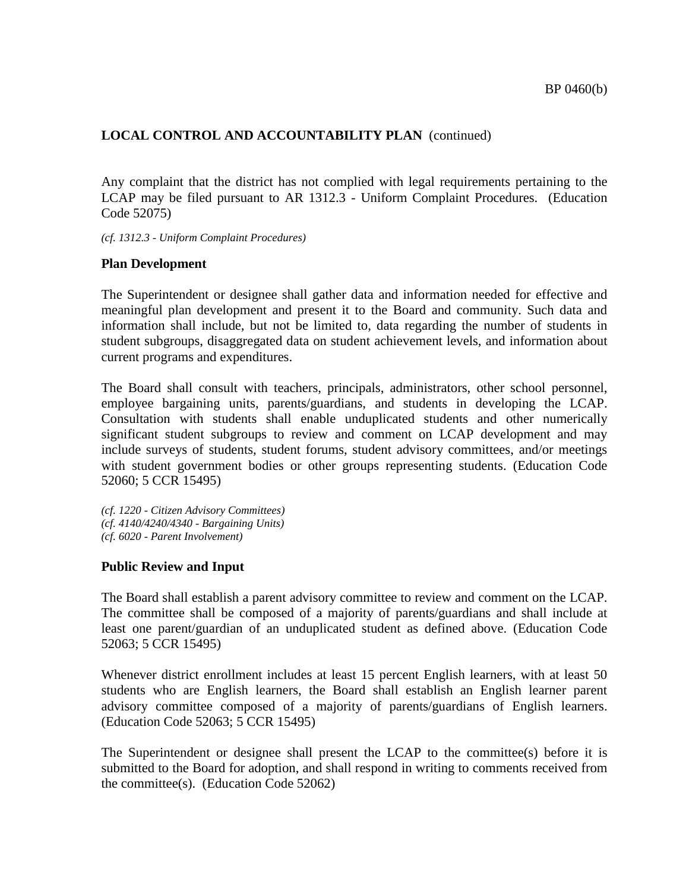Any complaint that the district has not complied with legal requirements pertaining to the LCAP may be filed pursuant to AR 1312.3 - Uniform Complaint Procedures. (Education Code 52075)

*(cf. 1312.3 - Uniform Complaint Procedures)*

#### **Plan Development**

The Superintendent or designee shall gather data and information needed for effective and meaningful plan development and present it to the Board and community. Such data and information shall include, but not be limited to, data regarding the number of students in student subgroups, disaggregated data on student achievement levels, and information about current programs and expenditures.

The Board shall consult with teachers, principals, administrators, other school personnel, employee bargaining units, parents/guardians, and students in developing the LCAP. Consultation with students shall enable unduplicated students and other numerically significant student subgroups to review and comment on LCAP development and may include surveys of students, student forums, student advisory committees, and/or meetings with student government bodies or other groups representing students. (Education Code 52060; 5 CCR 15495)

*(cf. 1220 - Citizen Advisory Committees) (cf. 4140/4240/4340 - Bargaining Units) (cf. 6020 - Parent Involvement)*

#### **Public Review and Input**

The Board shall establish a parent advisory committee to review and comment on the LCAP. The committee shall be composed of a majority of parents/guardians and shall include at least one parent/guardian of an unduplicated student as defined above. (Education Code 52063; 5 CCR 15495)

Whenever district enrollment includes at least 15 percent English learners, with at least 50 students who are English learners, the Board shall establish an English learner parent advisory committee composed of a majority of parents/guardians of English learners. (Education Code 52063; 5 CCR 15495)

The Superintendent or designee shall present the LCAP to the committee(s) before it is submitted to the Board for adoption, and shall respond in writing to comments received from the committee(s). (Education Code 52062)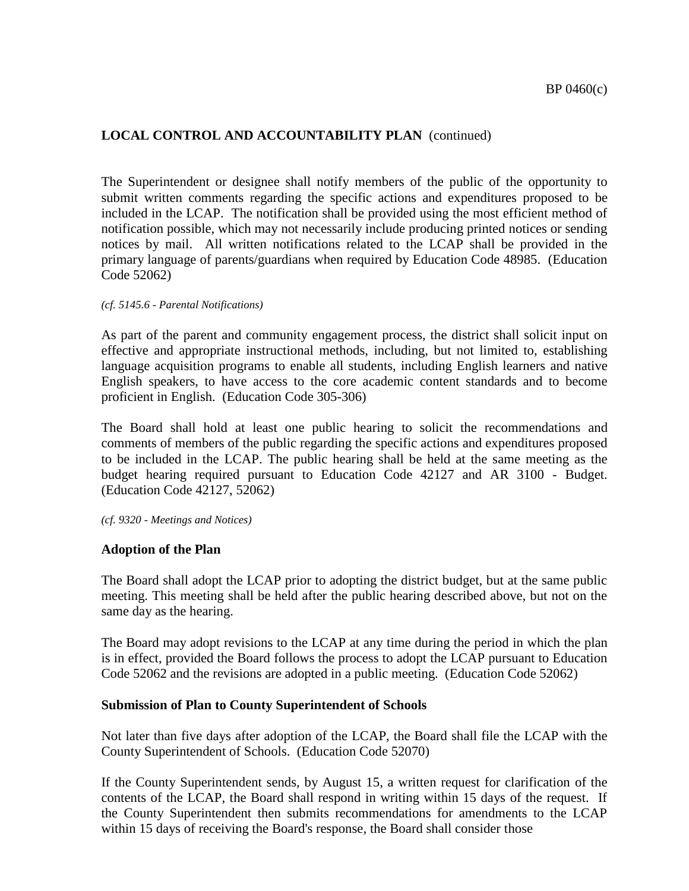The Superintendent or designee shall notify members of the public of the opportunity to submit written comments regarding the specific actions and expenditures proposed to be included in the LCAP. The notification shall be provided using the most efficient method of notification possible, which may not necessarily include producing printed notices or sending notices by mail. All written notifications related to the LCAP shall be provided in the primary language of parents/guardians when required by Education Code 48985. (Education Code 52062)

#### *(cf. 5145.6 - Parental Notifications)*

As part of the parent and community engagement process, the district shall solicit input on effective and appropriate instructional methods, including, but not limited to, establishing language acquisition programs to enable all students, including English learners and native English speakers, to have access to the core academic content standards and to become proficient in English. (Education Code 305-306)

The Board shall hold at least one public hearing to solicit the recommendations and comments of members of the public regarding the specific actions and expenditures proposed to be included in the LCAP. The public hearing shall be held at the same meeting as the budget hearing required pursuant to Education Code 42127 and AR 3100 - Budget. (Education Code 42127, 52062)

*(cf. 9320 - Meetings and Notices)*

#### **Adoption of the Plan**

The Board shall adopt the LCAP prior to adopting the district budget, but at the same public meeting. This meeting shall be held after the public hearing described above, but not on the same day as the hearing.

The Board may adopt revisions to the LCAP at any time during the period in which the plan is in effect, provided the Board follows the process to adopt the LCAP pursuant to Education Code 52062 and the revisions are adopted in a public meeting. (Education Code 52062)

#### **Submission of Plan to County Superintendent of Schools**

Not later than five days after adoption of the LCAP, the Board shall file the LCAP with the County Superintendent of Schools. (Education Code 52070)

If the County Superintendent sends, by August 15, a written request for clarification of the contents of the LCAP, the Board shall respond in writing within 15 days of the request. If the County Superintendent then submits recommendations for amendments to the LCAP within 15 days of receiving the Board's response, the Board shall consider those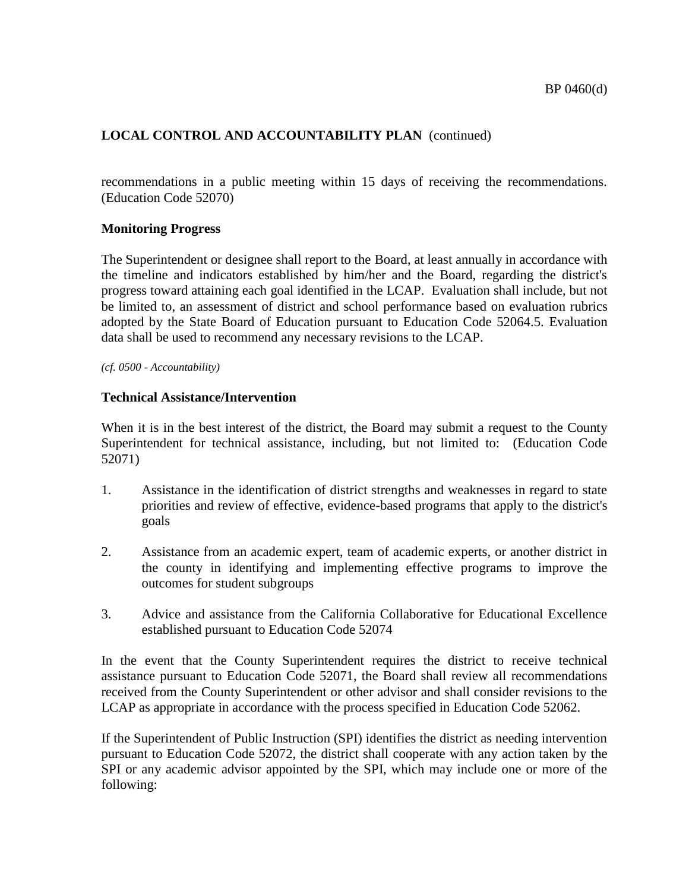recommendations in a public meeting within 15 days of receiving the recommendations. (Education Code 52070)

#### **Monitoring Progress**

The Superintendent or designee shall report to the Board, at least annually in accordance with the timeline and indicators established by him/her and the Board, regarding the district's progress toward attaining each goal identified in the LCAP. Evaluation shall include, but not be limited to, an assessment of district and school performance based on evaluation rubrics adopted by the State Board of Education pursuant to Education Code 52064.5. Evaluation data shall be used to recommend any necessary revisions to the LCAP.

*(cf. 0500 - Accountability)*

## **Technical Assistance/Intervention**

When it is in the best interest of the district, the Board may submit a request to the County Superintendent for technical assistance, including, but not limited to: (Education Code 52071)

- 1. Assistance in the identification of district strengths and weaknesses in regard to state priorities and review of effective, evidence-based programs that apply to the district's goals
- 2. Assistance from an academic expert, team of academic experts, or another district in the county in identifying and implementing effective programs to improve the outcomes for student subgroups
- 3. Advice and assistance from the California Collaborative for Educational Excellence established pursuant to Education Code 52074

In the event that the County Superintendent requires the district to receive technical assistance pursuant to Education Code 52071, the Board shall review all recommendations received from the County Superintendent or other advisor and shall consider revisions to the LCAP as appropriate in accordance with the process specified in Education Code 52062.

If the Superintendent of Public Instruction (SPI) identifies the district as needing intervention pursuant to Education Code 52072, the district shall cooperate with any action taken by the SPI or any academic advisor appointed by the SPI, which may include one or more of the following: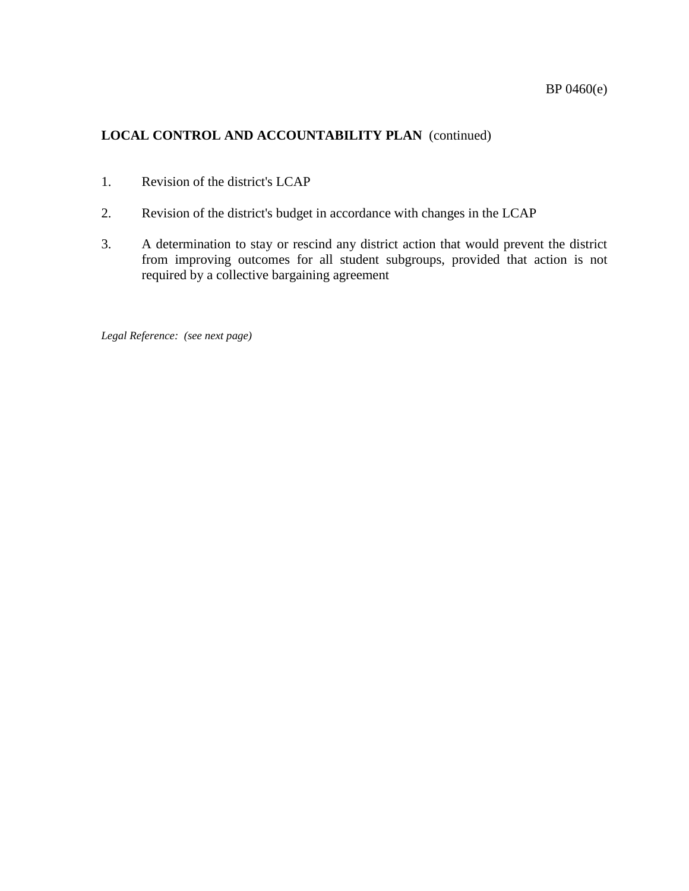- 1. Revision of the district's LCAP
- 2. Revision of the district's budget in accordance with changes in the LCAP
- 3. A determination to stay or rescind any district action that would prevent the district from improving outcomes for all student subgroups, provided that action is not required by a collective bargaining agreement

*Legal Reference: (see next page)*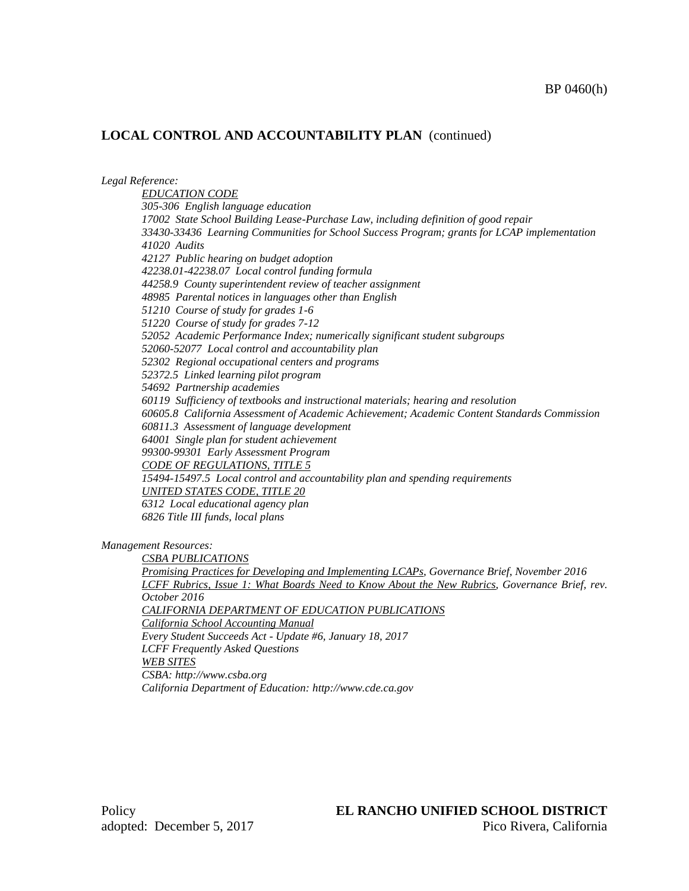*Legal Reference:*

*EDUCATION CODE 305-306 English language education 17002 State School Building Lease-Purchase Law, including definition of good repair 33430-33436 Learning Communities for School Success Program; grants for LCAP implementation 41020 Audits 42127 Public hearing on budget adoption 42238.01-42238.07 Local control funding formula 44258.9 County superintendent review of teacher assignment 48985 Parental notices in languages other than English 51210 Course of study for grades 1-6 51220 Course of study for grades 7-12 52052 Academic Performance Index; numerically significant student subgroups 52060-52077 Local control and accountability plan 52302 Regional occupational centers and programs 52372.5 Linked learning pilot program 54692 Partnership academies 60119 Sufficiency of textbooks and instructional materials; hearing and resolution 60605.8 California Assessment of Academic Achievement; Academic Content Standards Commission 60811.3 Assessment of language development 64001 Single plan for student achievement 99300-99301 Early Assessment Program CODE OF REGULATIONS, TITLE 5 15494-15497.5 Local control and accountability plan and spending requirements UNITED STATES CODE, TITLE 20 6312 Local educational agency plan 6826 Title III funds, local plans*

*Management Resources:*

*CSBA PUBLICATIONS*

*Promising Practices for Developing and Implementing LCAPs, Governance Brief, November 2016 LCFF Rubrics, Issue 1: What Boards Need to Know About the New Rubrics, Governance Brief, rev. October 2016 CALIFORNIA DEPARTMENT OF EDUCATION PUBLICATIONS California School Accounting Manual*

*Every Student Succeeds Act - Update #6, January 18, 2017 LCFF Frequently Asked Questions WEB SITES CSBA: http://www.csba.org California Department of Education: http://www.cde.ca.gov*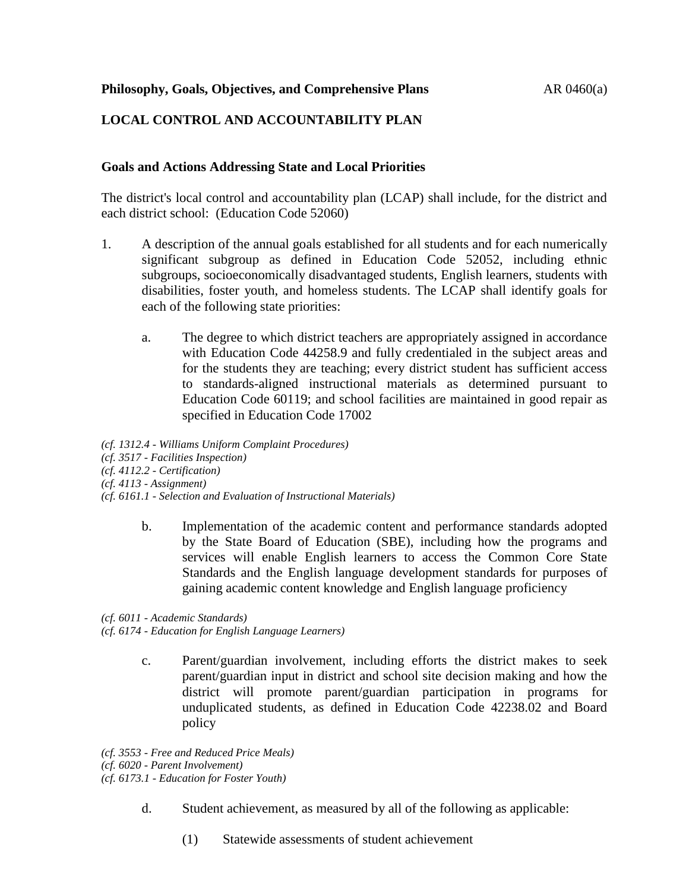# **LOCAL CONTROL AND ACCOUNTABILITY PLAN**

#### **Goals and Actions Addressing State and Local Priorities**

The district's local control and accountability plan (LCAP) shall include, for the district and each district school: (Education Code 52060)

- 1. A description of the annual goals established for all students and for each numerically significant subgroup as defined in Education Code 52052, including ethnic subgroups, socioeconomically disadvantaged students, English learners, students with disabilities, foster youth, and homeless students. The LCAP shall identify goals for each of the following state priorities:
	- a. The degree to which district teachers are appropriately assigned in accordance with Education Code 44258.9 and fully credentialed in the subject areas and for the students they are teaching; every district student has sufficient access to standards-aligned instructional materials as determined pursuant to Education Code 60119; and school facilities are maintained in good repair as specified in Education Code 17002

*(cf. 1312.4 - Williams Uniform Complaint Procedures) (cf. 3517 - Facilities Inspection) (cf. 4112.2 - Certification) (cf. 4113 - Assignment) (cf. 6161.1 - Selection and Evaluation of Instructional Materials)*

> b. Implementation of the academic content and performance standards adopted by the State Board of Education (SBE), including how the programs and services will enable English learners to access the Common Core State Standards and the English language development standards for purposes of gaining academic content knowledge and English language proficiency

*(cf. 6011 - Academic Standards)*

*(cf. 6174 - Education for English Language Learners)*

c. Parent/guardian involvement, including efforts the district makes to seek parent/guardian input in district and school site decision making and how the district will promote parent/guardian participation in programs for unduplicated students, as defined in Education Code 42238.02 and Board policy

*(cf. 3553 - Free and Reduced Price Meals) (cf. 6020 - Parent Involvement) (cf. 6173.1 - Education for Foster Youth)*

- d. Student achievement, as measured by all of the following as applicable:
	- (1) Statewide assessments of student achievement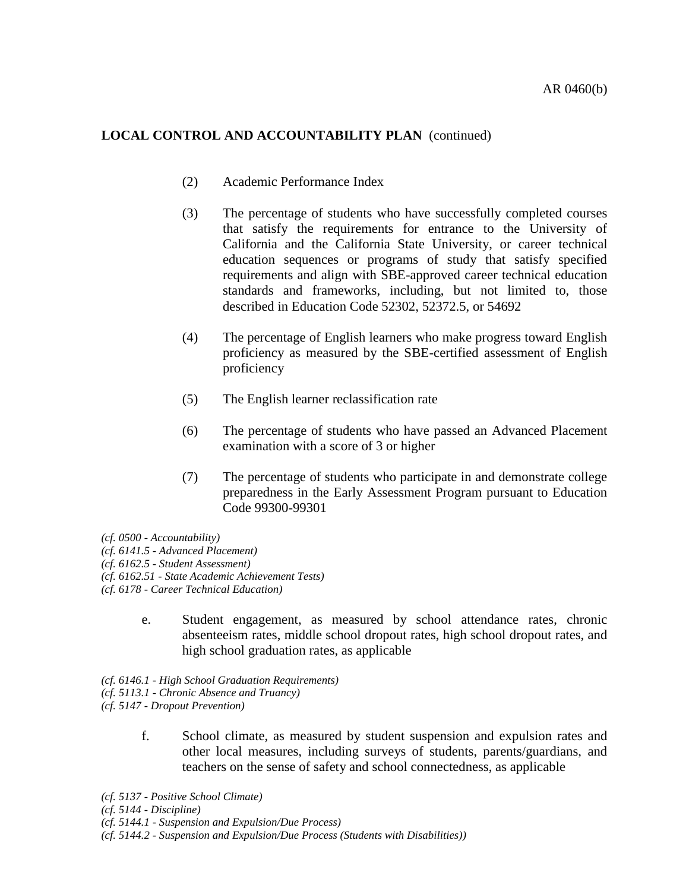- (2) Academic Performance Index
- (3) The percentage of students who have successfully completed courses that satisfy the requirements for entrance to the University of California and the California State University, or career technical education sequences or programs of study that satisfy specified requirements and align with SBE-approved career technical education standards and frameworks, including, but not limited to, those described in Education Code 52302, 52372.5, or 54692
- (4) The percentage of English learners who make progress toward English proficiency as measured by the SBE-certified assessment of English proficiency
- (5) The English learner reclassification rate
- (6) The percentage of students who have passed an Advanced Placement examination with a score of 3 or higher
- (7) The percentage of students who participate in and demonstrate college preparedness in the Early Assessment Program pursuant to Education Code 99300-99301

*(cf. 0500 - Accountability)*

*(cf. 6141.5 - Advanced Placement)*

*(cf. 6162.5 - Student Assessment)*

*(cf. 6162.51 - State Academic Achievement Tests)*

*(cf. 6178 - Career Technical Education)*

- e. Student engagement, as measured by school attendance rates, chronic absenteeism rates, middle school dropout rates, high school dropout rates, and high school graduation rates, as applicable
- *(cf. 6146.1 - High School Graduation Requirements) (cf. 5113.1 - Chronic Absence and Truancy) (cf. 5147 - Dropout Prevention)*
	- f. School climate, as measured by student suspension and expulsion rates and other local measures, including surveys of students, parents/guardians, and teachers on the sense of safety and school connectedness, as applicable

*(cf. 5137 - Positive School Climate)*

*(cf. 5144 - Discipline)*

*(cf. 5144.1 - Suspension and Expulsion/Due Process)*

*(cf. 5144.2 - Suspension and Expulsion/Due Process (Students with Disabilities))*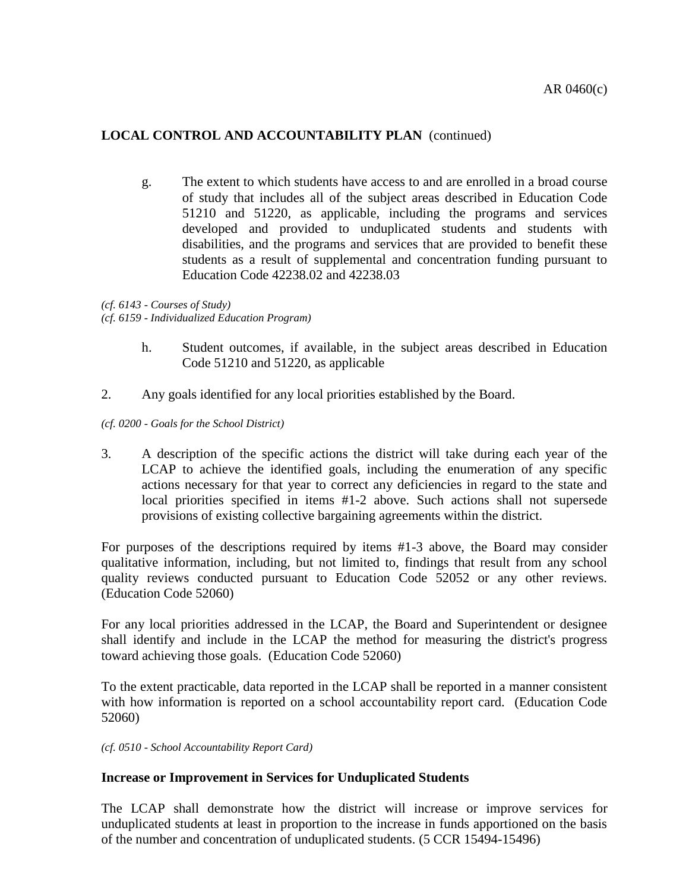g. The extent to which students have access to and are enrolled in a broad course of study that includes all of the subject areas described in Education Code 51210 and 51220, as applicable, including the programs and services developed and provided to unduplicated students and students with disabilities, and the programs and services that are provided to benefit these students as a result of supplemental and concentration funding pursuant to Education Code 42238.02 and 42238.03

*(cf. 6143 - Courses of Study) (cf. 6159 - Individualized Education Program)*

- h. Student outcomes, if available, in the subject areas described in Education Code 51210 and 51220, as applicable
- 2. Any goals identified for any local priorities established by the Board.

*(cf. 0200 - Goals for the School District)*

3. A description of the specific actions the district will take during each year of the LCAP to achieve the identified goals, including the enumeration of any specific actions necessary for that year to correct any deficiencies in regard to the state and local priorities specified in items #1-2 above. Such actions shall not supersede provisions of existing collective bargaining agreements within the district.

For purposes of the descriptions required by items #1-3 above, the Board may consider qualitative information, including, but not limited to, findings that result from any school quality reviews conducted pursuant to Education Code 52052 or any other reviews. (Education Code 52060)

For any local priorities addressed in the LCAP, the Board and Superintendent or designee shall identify and include in the LCAP the method for measuring the district's progress toward achieving those goals. (Education Code 52060)

To the extent practicable, data reported in the LCAP shall be reported in a manner consistent with how information is reported on a school accountability report card. (Education Code 52060)

*(cf. 0510 - School Accountability Report Card)*

#### **Increase or Improvement in Services for Unduplicated Students**

The LCAP shall demonstrate how the district will increase or improve services for unduplicated students at least in proportion to the increase in funds apportioned on the basis of the number and concentration of unduplicated students. (5 CCR 15494-15496)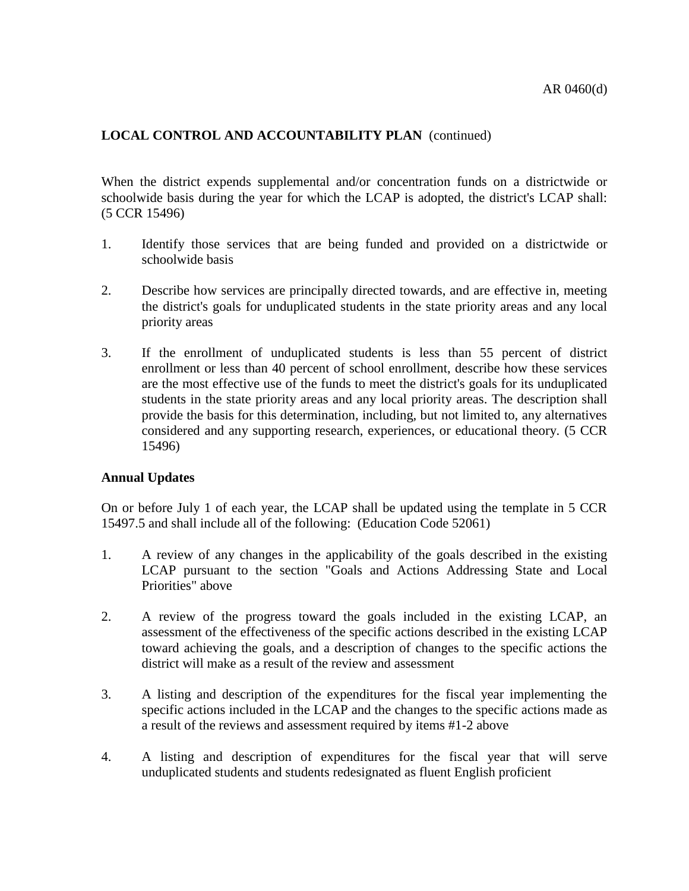When the district expends supplemental and/or concentration funds on a districtwide or schoolwide basis during the year for which the LCAP is adopted, the district's LCAP shall: (5 CCR 15496)

- 1. Identify those services that are being funded and provided on a districtwide or schoolwide basis
- 2. Describe how services are principally directed towards, and are effective in, meeting the district's goals for unduplicated students in the state priority areas and any local priority areas
- 3. If the enrollment of unduplicated students is less than 55 percent of district enrollment or less than 40 percent of school enrollment, describe how these services are the most effective use of the funds to meet the district's goals for its unduplicated students in the state priority areas and any local priority areas. The description shall provide the basis for this determination, including, but not limited to, any alternatives considered and any supporting research, experiences, or educational theory. (5 CCR 15496)

#### **Annual Updates**

On or before July 1 of each year, the LCAP shall be updated using the template in 5 CCR 15497.5 and shall include all of the following: (Education Code 52061)

- 1. A review of any changes in the applicability of the goals described in the existing LCAP pursuant to the section "Goals and Actions Addressing State and Local Priorities" above
- 2. A review of the progress toward the goals included in the existing LCAP, an assessment of the effectiveness of the specific actions described in the existing LCAP toward achieving the goals, and a description of changes to the specific actions the district will make as a result of the review and assessment
- 3. A listing and description of the expenditures for the fiscal year implementing the specific actions included in the LCAP and the changes to the specific actions made as a result of the reviews and assessment required by items #1-2 above
- 4. A listing and description of expenditures for the fiscal year that will serve unduplicated students and students redesignated as fluent English proficient